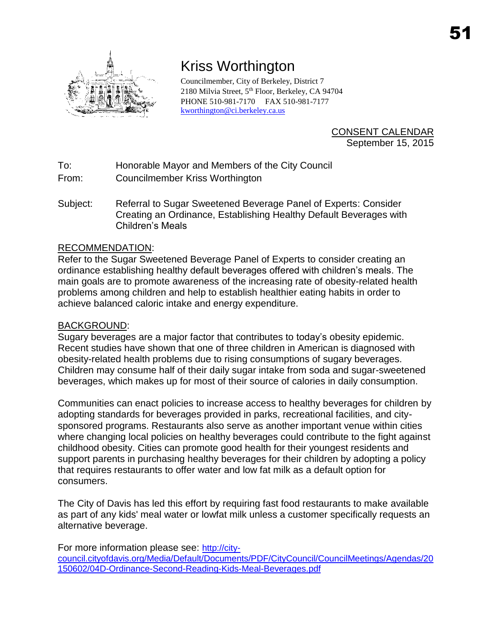

## Kriss Worthington

Councilmember, City of Berkeley, District 7 2180 Milvia Street, 5<sup>th</sup> Floor, Berkeley, CA 94704 PHONE 510-981-7170 FAX 510-981-7177 [kworthington@ci.berkeley.ca.us](mailto:kworthington@ci.berkeley.ca.us)

> CONSENT CALENDAR September 15, 2015

To: Honorable Mayor and Members of the City Council

From: Councilmember Kriss Worthington

Subject: Referral to Sugar Sweetened Beverage Panel of Experts: Consider Creating an Ordinance, Establishing Healthy Default Beverages with Children's Meals

## RECOMMENDATION:

Refer to the Sugar Sweetened Beverage Panel of Experts to consider creating an ordinance establishing healthy default beverages offered with children's meals. The main goals are to promote awareness of the increasing rate of obesity-related health problems among children and help to establish healthier eating habits in order to achieve balanced caloric intake and energy expenditure.

## BACKGROUND:

Sugary beverages are a major factor that contributes to today's obesity epidemic. Recent studies have shown that one of three children in American is diagnosed with obesity-related health problems due to rising consumptions of sugary beverages. Children may consume half of their daily sugar intake from soda and sugar-sweetened beverages, which makes up for most of their source of calories in daily consumption.

Communities can enact policies to increase access to healthy beverages for children by adopting standards for beverages provided in parks, recreational facilities, and citysponsored programs. Restaurants also serve as another important venue within cities where changing local policies on healthy beverages could contribute to the fight against childhood obesity. Cities can promote good health for their youngest residents and support parents in purchasing healthy beverages for their children by adopting a policy that requires restaurants to offer water and low fat milk as a default option for consumers.

The City of Davis has led this effort by requiring fast food restaurants to make available as part of any kids' meal water or lowfat milk unless a customer specifically requests an alternative beverage.

For more information please see: [http://city](http://city-council.cityofdavis.org/Media/Default/Documents/PDF/CityCouncil/CouncilMeetings/Agendas/20150602/04D-Ordinance-Second-Reading-Kids-Meal-Beverages.pdf)[council.cityofdavis.org/Media/Default/Documents/PDF/CityCouncil/CouncilMeetings/Agendas/20](http://city-council.cityofdavis.org/Media/Default/Documents/PDF/CityCouncil/CouncilMeetings/Agendas/20150602/04D-Ordinance-Second-Reading-Kids-Meal-Beverages.pdf) [150602/04D-Ordinance-Second-Reading-Kids-Meal-Beverages.pdf](http://city-council.cityofdavis.org/Media/Default/Documents/PDF/CityCouncil/CouncilMeetings/Agendas/20150602/04D-Ordinance-Second-Reading-Kids-Meal-Beverages.pdf)